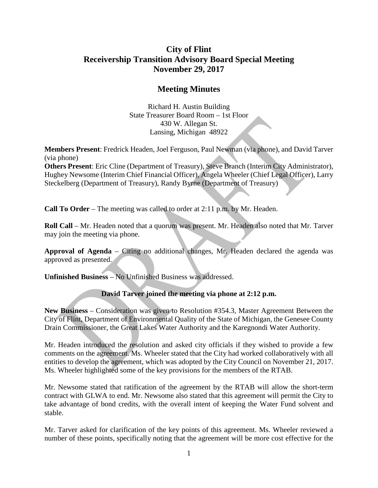## APPROVED - 12-20-17

# **City of Flint Receivership Transition Advisory Board Special Meeting November 29, 2017**

## **Meeting Minutes**

Richard H. Austin Building State Treasurer Board Room – 1st Floor 430 W. Allegan St. Lansing, Michigan 48922

**Members Present**: Fredrick Headen, Joel Ferguson, Paul Newman (via phone), and David Tarver (via phone)

**Others Present**: Eric Cline (Department of Treasury), Steve Branch (Interim City Administrator), Hughey Newsome (Interim Chief Financial Officer), Angela Wheeler (Chief Legal Officer), Larry Steckelberg (Department of Treasury), Randy Byrne (Department of Treasury)

**Call To Order** – The meeting was called to order at 2:11 p.m. by Mr. Headen.

**Roll Call** – Mr. Headen noted that a quorum was present. Mr. Headen also noted that Mr. Tarver may join the meeting via phone.

**Approval of Agenda** – Citing no additional changes, Mr. Headen declared the agenda was approved as presented.

**Unfinished Business** – No Unfinished Business was addressed.

#### **David Tarver joined the meeting via phone at 2:12 p.m.**

**New Business** – Consideration was given to Resolution #354.3, Master Agreement Between the City of Flint, Department of Environmental Quality of the State of Michigan, the Genesee County Drain Commissioner, the Great Lakes Water Authority and the Karegnondi Water Authority.

Mr. Headen introduced the resolution and asked city officials if they wished to provide a few comments on the agreement. Ms. Wheeler stated that the City had worked collaboratively with all entities to develop the agreement, which was adopted by the City Council on November 21, 2017. Ms. Wheeler highlighted some of the key provisions for the members of the RTAB.

Mr. Newsome stated that ratification of the agreement by the RTAB will allow the short-term contract with GLWA to end. Mr. Newsome also stated that this agreement will permit the City to take advantage of bond credits, with the overall intent of keeping the Water Fund solvent and stable.

Mr. Tarver asked for clarification of the key points of this agreement. Ms. Wheeler reviewed a number of these points, specifically noting that the agreement will be more cost effective for the